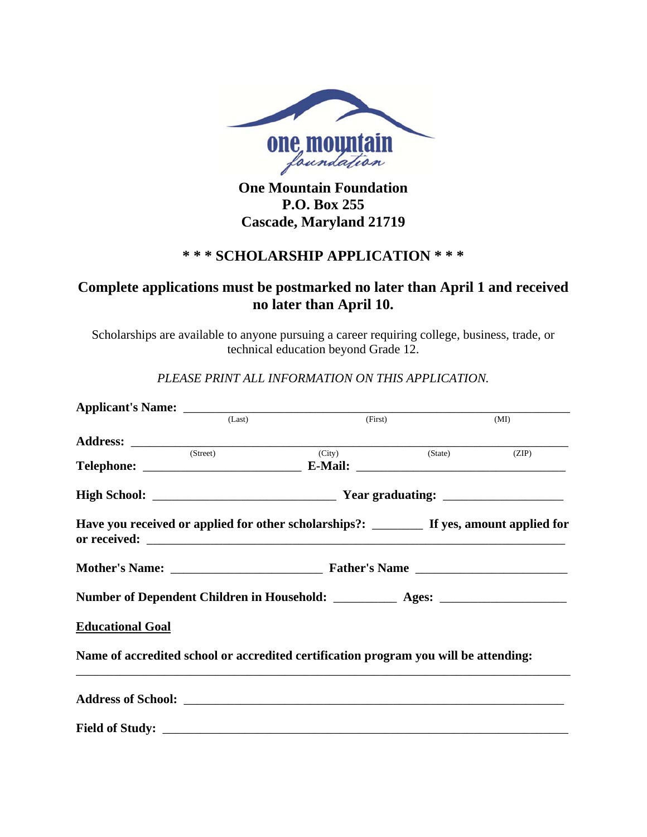

**One Mountain Foundation P.O. Box 255 Cascade, Maryland 21719** 

### **\* \* \* SCHOLARSHIP APPLICATION \* \* \***

# **Complete applications must be postmarked no later than April 1 and received no later than April 10.**

Scholarships are available to anyone pursuing a career requiring college, business, trade, or technical education beyond Grade 12.

*PLEASE PRINT ALL INFORMATION ON THIS APPLICATION.*

|                         | (Last)   | (First)                                                                                    |         | (MI)  |  |
|-------------------------|----------|--------------------------------------------------------------------------------------------|---------|-------|--|
|                         |          |                                                                                            |         |       |  |
|                         | (Street) | $\overline{C}$ (City)                                                                      | (State) | (ZIP) |  |
|                         |          |                                                                                            |         |       |  |
|                         |          | Have you received or applied for other scholarships?: _________ If yes, amount applied for |         |       |  |
|                         |          |                                                                                            |         |       |  |
|                         |          | Number of Dependent Children in Household: ____________ Ages: ___________________          |         |       |  |
| <b>Educational Goal</b> |          |                                                                                            |         |       |  |
|                         |          | Name of accredited school or accredited certification program you will be attending:       |         |       |  |
|                         |          |                                                                                            |         |       |  |
|                         |          |                                                                                            |         |       |  |